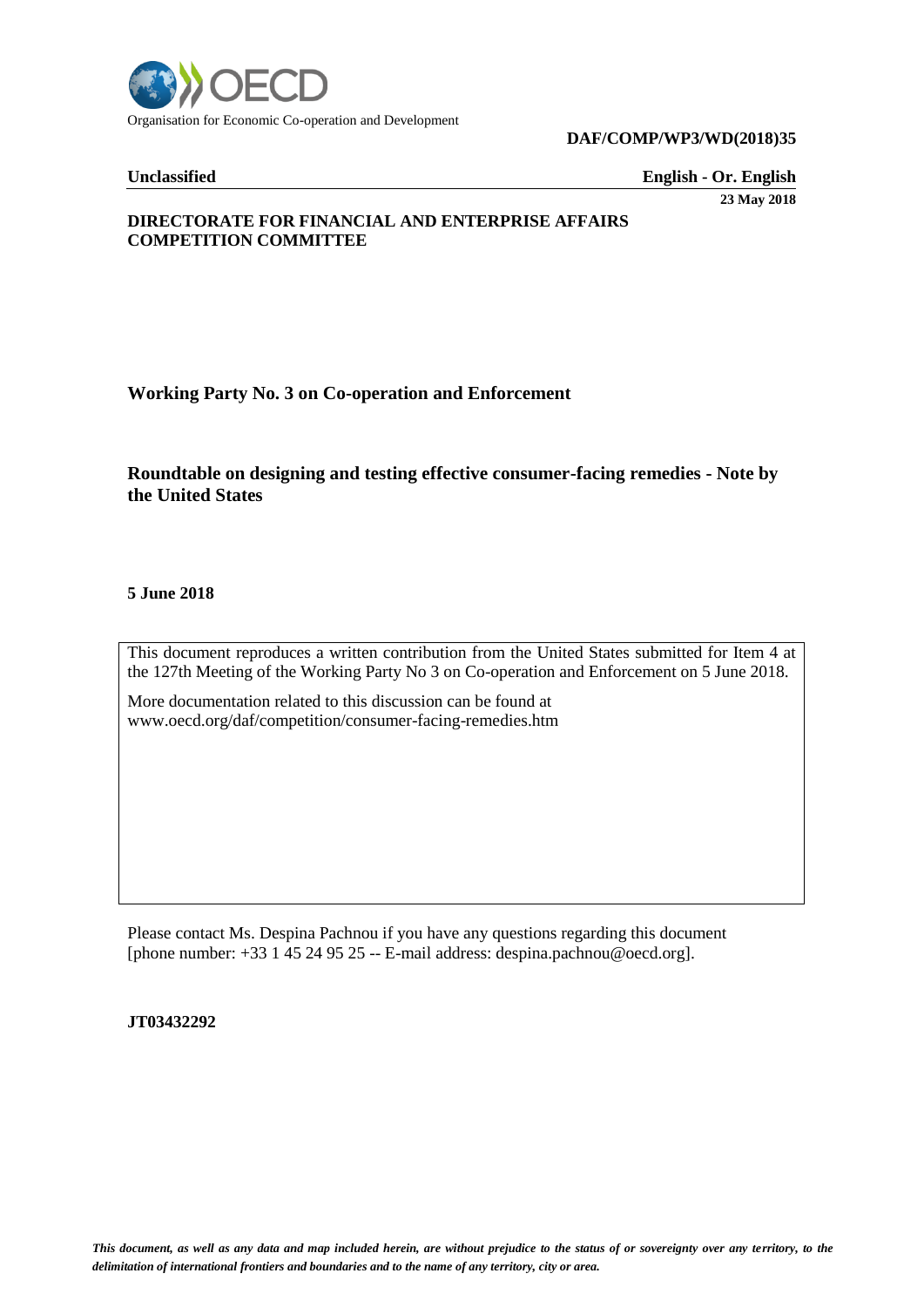

#### **DAF/COMP/WP3/WD(2018)35**

**Unclassified English - Or. English** 

**23 May 2018**

# **DIRECTORATE FOR FINANCIAL AND ENTERPRISE AFFAIRS COMPETITION COMMITTEE**

**Working Party No. 3 on Co-operation and Enforcement** 

# **Roundtable on designing and testing effective consumer-facing remedies - Note by the United States**

**5 June 2018** 

This document reproduces a written contribution from the United States submitted for Item 4 at the 127th Meeting of the Working Party No 3 on Co-operation and Enforcement on 5 June 2018.

More documentation related to this discussion can be found at www.oecd.org/daf/competition/consumer-facing-remedies.htm

Please contact Ms. Despina Pachnou if you have any questions regarding this document [phone number: +33 1 45 24 95 25 -- E-mail address: despina.pachnou@oecd.org].

### **JT03432292**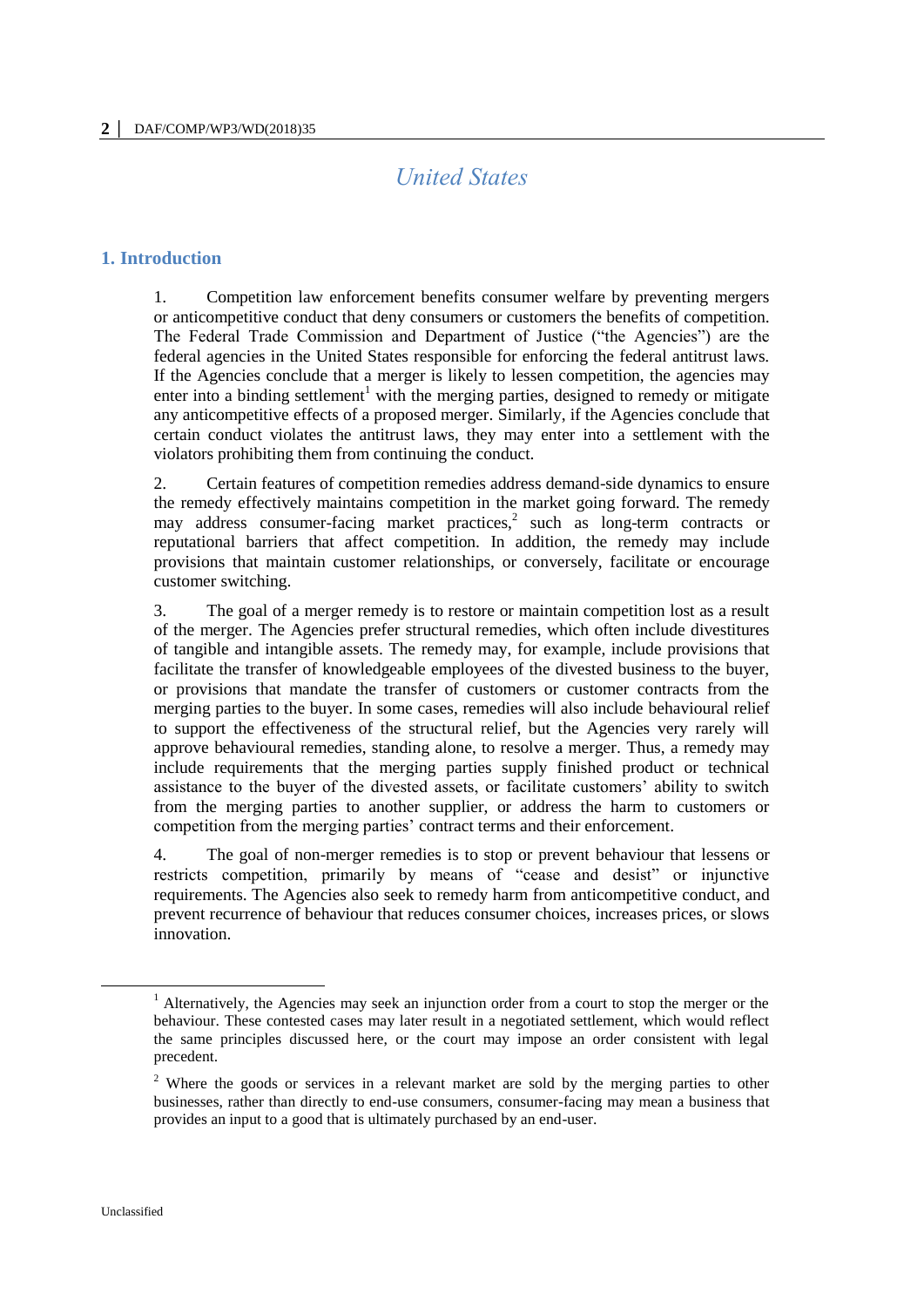# *United States*

# **1. Introduction**

1. Competition law enforcement benefits consumer welfare by preventing mergers or anticompetitive conduct that deny consumers or customers the benefits of competition. The Federal Trade Commission and Department of Justice ("the Agencies") are the federal agencies in the United States responsible for enforcing the federal antitrust laws. If the Agencies conclude that a merger is likely to lessen competition, the agencies may enter into a binding settlement<sup>1</sup> with the merging parties, designed to remedy or mitigate any anticompetitive effects of a proposed merger. Similarly, if the Agencies conclude that certain conduct violates the antitrust laws, they may enter into a settlement with the violators prohibiting them from continuing the conduct.

2. Certain features of competition remedies address demand-side dynamics to ensure the remedy effectively maintains competition in the market going forward. The remedy may address consumer-facing market practices, $2$  such as long-term contracts or reputational barriers that affect competition. In addition, the remedy may include provisions that maintain customer relationships, or conversely, facilitate or encourage customer switching.

3. The goal of a merger remedy is to restore or maintain competition lost as a result of the merger. The Agencies prefer structural remedies, which often include divestitures of tangible and intangible assets. The remedy may, for example, include provisions that facilitate the transfer of knowledgeable employees of the divested business to the buyer, or provisions that mandate the transfer of customers or customer contracts from the merging parties to the buyer. In some cases, remedies will also include behavioural relief to support the effectiveness of the structural relief, but the Agencies very rarely will approve behavioural remedies, standing alone, to resolve a merger. Thus, a remedy may include requirements that the merging parties supply finished product or technical assistance to the buyer of the divested assets, or facilitate customers' ability to switch from the merging parties to another supplier, or address the harm to customers or competition from the merging parties' contract terms and their enforcement.

4. The goal of non-merger remedies is to stop or prevent behaviour that lessens or restricts competition, primarily by means of "cease and desist" or injunctive requirements. The Agencies also seek to remedy harm from anticompetitive conduct, and prevent recurrence of behaviour that reduces consumer choices, increases prices, or slows innovation.

<sup>&</sup>lt;sup>1</sup> Alternatively, the Agencies may seek an injunction order from a court to stop the merger or the behaviour. These contested cases may later result in a negotiated settlement, which would reflect the same principles discussed here, or the court may impose an order consistent with legal precedent.

<sup>2</sup> Where the goods or services in a relevant market are sold by the merging parties to other businesses, rather than directly to end-use consumers, consumer-facing may mean a business that provides an input to a good that is ultimately purchased by an end-user.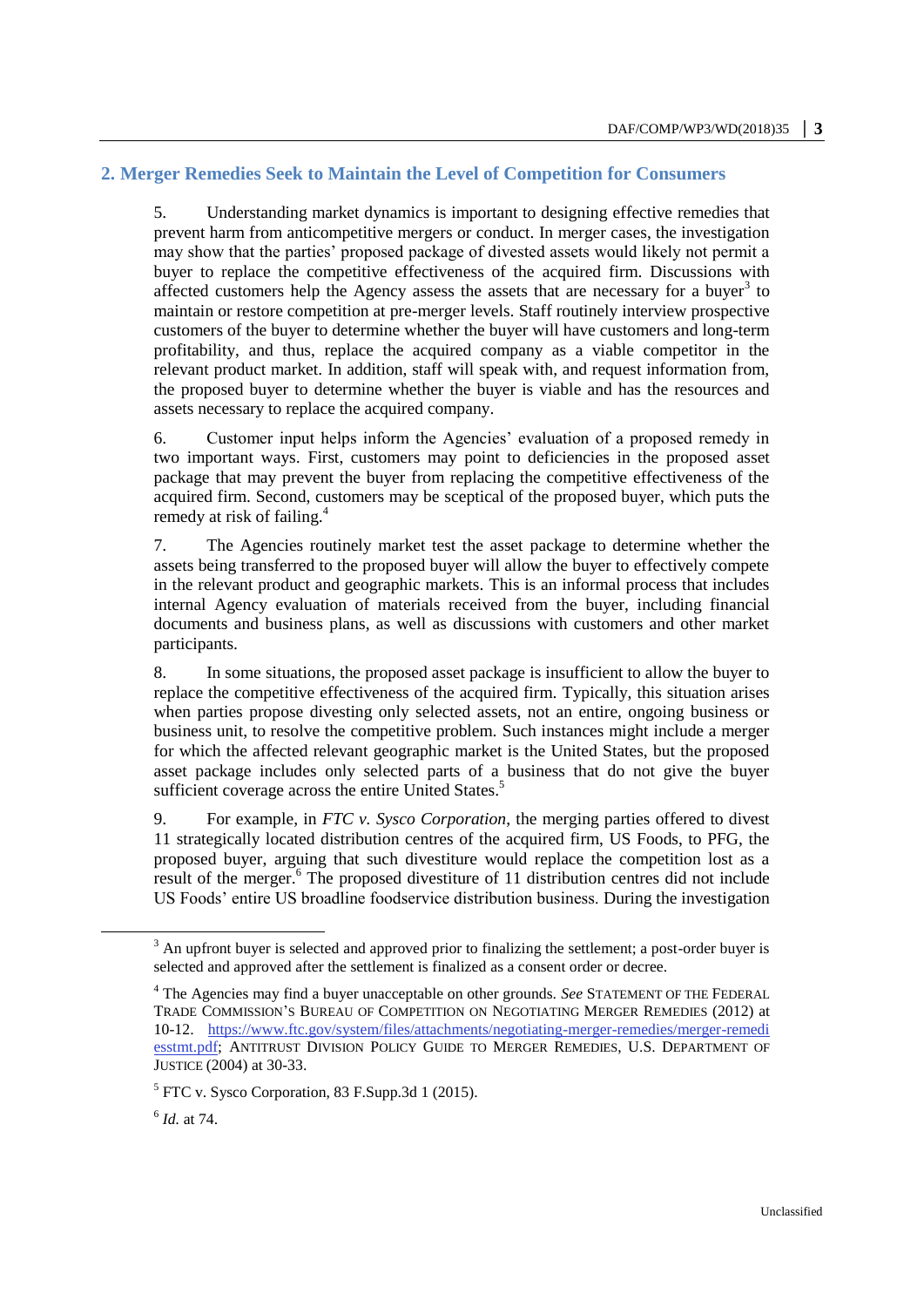# **2. Merger Remedies Seek to Maintain the Level of Competition for Consumers**

5. Understanding market dynamics is important to designing effective remedies that prevent harm from anticompetitive mergers or conduct. In merger cases, the investigation may show that the parties' proposed package of divested assets would likely not permit a buyer to replace the competitive effectiveness of the acquired firm. Discussions with affected customers help the Agency assess the assets that are necessary for a buyer<sup>3</sup> to maintain or restore competition at pre-merger levels. Staff routinely interview prospective customers of the buyer to determine whether the buyer will have customers and long-term profitability, and thus, replace the acquired company as a viable competitor in the relevant product market. In addition, staff will speak with, and request information from, the proposed buyer to determine whether the buyer is viable and has the resources and assets necessary to replace the acquired company.

6. Customer input helps inform the Agencies' evaluation of a proposed remedy in two important ways. First, customers may point to deficiencies in the proposed asset package that may prevent the buyer from replacing the competitive effectiveness of the acquired firm. Second, customers may be sceptical of the proposed buyer, which puts the remedy at risk of failing.<sup>4</sup>

7. The Agencies routinely market test the asset package to determine whether the assets being transferred to the proposed buyer will allow the buyer to effectively compete in the relevant product and geographic markets. This is an informal process that includes internal Agency evaluation of materials received from the buyer, including financial documents and business plans, as well as discussions with customers and other market participants.

8. In some situations, the proposed asset package is insufficient to allow the buyer to replace the competitive effectiveness of the acquired firm. Typically, this situation arises when parties propose divesting only selected assets, not an entire, ongoing business or business unit, to resolve the competitive problem. Such instances might include a merger for which the affected relevant geographic market is the United States, but the proposed asset package includes only selected parts of a business that do not give the buyer sufficient coverage across the entire United States.<sup>5</sup>

9. For example, in *FTC v. Sysco Corporation*, the merging parties offered to divest 11 strategically located distribution centres of the acquired firm, US Foods, to PFG, the proposed buyer, arguing that such divestiture would replace the competition lost as a result of the merger.<sup>6</sup> The proposed divestiture of 11 distribution centres did not include US Foods' entire US broadline foodservice distribution business. During the investigation

 $3$  An upfront buyer is selected and approved prior to finalizing the settlement; a post-order buyer is selected and approved after the settlement is finalized as a consent order or decree.

<sup>4</sup> The Agencies may find a buyer unacceptable on other grounds. *See* STATEMENT OF THE FEDERAL TRADE COMMISSION'S BUREAU OF COMPETITION ON NEGOTIATING MERGER REMEDIES (2012) at 10-12. [https://www.ftc.gov/system/files/attachments/negotiating-merger-remedies/merger-remedi](https://www.ftc.gov/system/files/attachments/negotiating-merger-remedies/merger-remedi%20esstmt.pdf)  [esstmt.pdf;](https://www.ftc.gov/system/files/attachments/negotiating-merger-remedies/merger-remedi%20esstmt.pdf) ANTITRUST DIVISION POLICY GUIDE TO MERGER REMEDIES, U.S. DEPARTMENT OF JUSTICE (2004) at 30-33.

<sup>&</sup>lt;sup>5</sup> FTC v. Sysco Corporation, 83 F.Supp.3d 1 (2015).

<sup>6</sup> *Id.* at 74.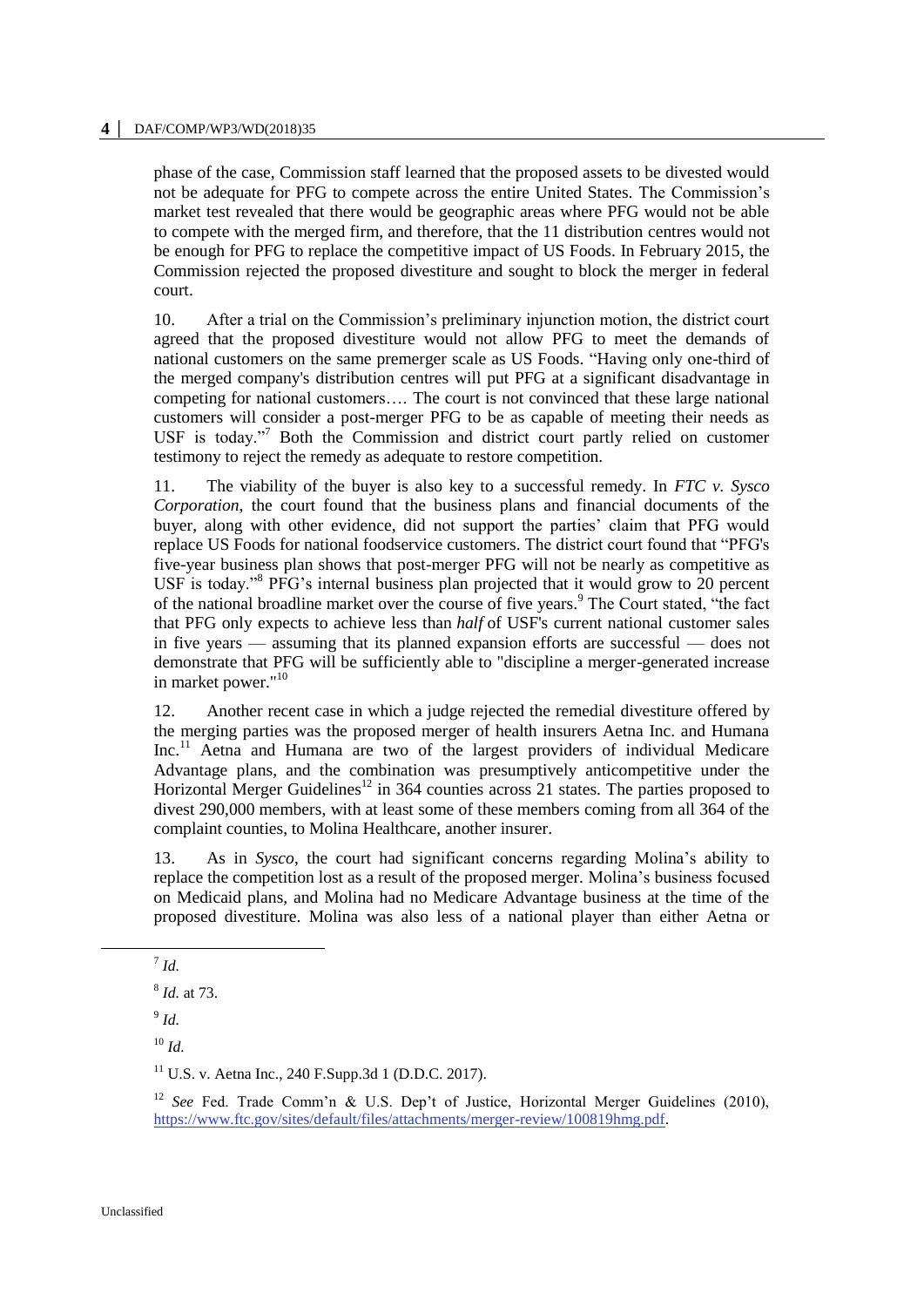#### **4 │** DAF/COMP/WP3/WD(2018)35

phase of the case, Commission staff learned that the proposed assets to be divested would not be adequate for PFG to compete across the entire United States. The Commission's market test revealed that there would be geographic areas where PFG would not be able to compete with the merged firm, and therefore, that the 11 distribution centres would not be enough for PFG to replace the competitive impact of US Foods. In February 2015, the Commission rejected the proposed divestiture and sought to block the merger in federal court.

10. After a trial on the Commission's preliminary injunction motion, the district court agreed that the proposed divestiture would not allow PFG to meet the demands of national customers on the same premerger scale as US Foods. "Having only one-third of the merged company's distribution centres will put PFG at a significant disadvantage in competing for national customers…. The court is not convinced that these large national customers will consider a post-merger PFG to be as capable of meeting their needs as USF is today."<sup>7</sup> Both the Commission and district court partly relied on customer testimony to reject the remedy as adequate to restore competition.

11. The viability of the buyer is also key to a successful remedy. In *FTC v. Sysco Corporation*, the court found that the business plans and financial documents of the buyer, along with other evidence, did not support the parties' claim that PFG would replace US Foods for national foodservice customers. The district court found that "PFG's five-year business plan shows that post-merger PFG will not be nearly as competitive as USF is today."<sup>8</sup> PFG's internal business plan projected that it would grow to 20 percent of the national broadline market over the course of five years.<sup>9</sup> The Court stated, "the fact that PFG only expects to achieve less than *half* of USF's current national customer sales in five years — assuming that its planned expansion efforts are successful — does not demonstrate that PFG will be sufficiently able to "discipline a merger-generated increase in market power."<sup>10</sup>

12. Another recent case in which a judge rejected the remedial divestiture offered by the merging parties was the proposed merger of health insurers Aetna Inc. and Humana Inc.<sup>11</sup> Aetna and Humana are two of the largest providers of individual Medicare Advantage plans, and the combination was presumptively anticompetitive under the Horizontal Merger Guidelines<sup>12</sup> in 364 counties across 21 states. The parties proposed to divest 290,000 members, with at least some of these members coming from all 364 of the complaint counties, to Molina Healthcare, another insurer.

13. As in *Sysco*, the court had significant concerns regarding Molina's ability to replace the competition lost as a result of the proposed merger. Molina's business focused on Medicaid plans, and Molina had no Medicare Advantage business at the time of the proposed divestiture. Molina was also less of a national player than either Aetna or

7 *Id.*

8 *Id.* at 73.

9 *Id.*

<sup>10</sup> *Id.*

 $11$  U.S. v. Aetna Inc., 240 F.Supp.3d 1 (D.D.C. 2017).

<sup>12</sup> *See* Fed. Trade Comm'n & U.S. Dep't of Justice, Horizontal Merger Guidelines (2010), [https://www.ftc.gov/sites/default/files/attachments/merger-review/100819hmg.pdf.](https://www.ftc.gov/sites/default/files/attachments/merger-review/100819hmg.pdf)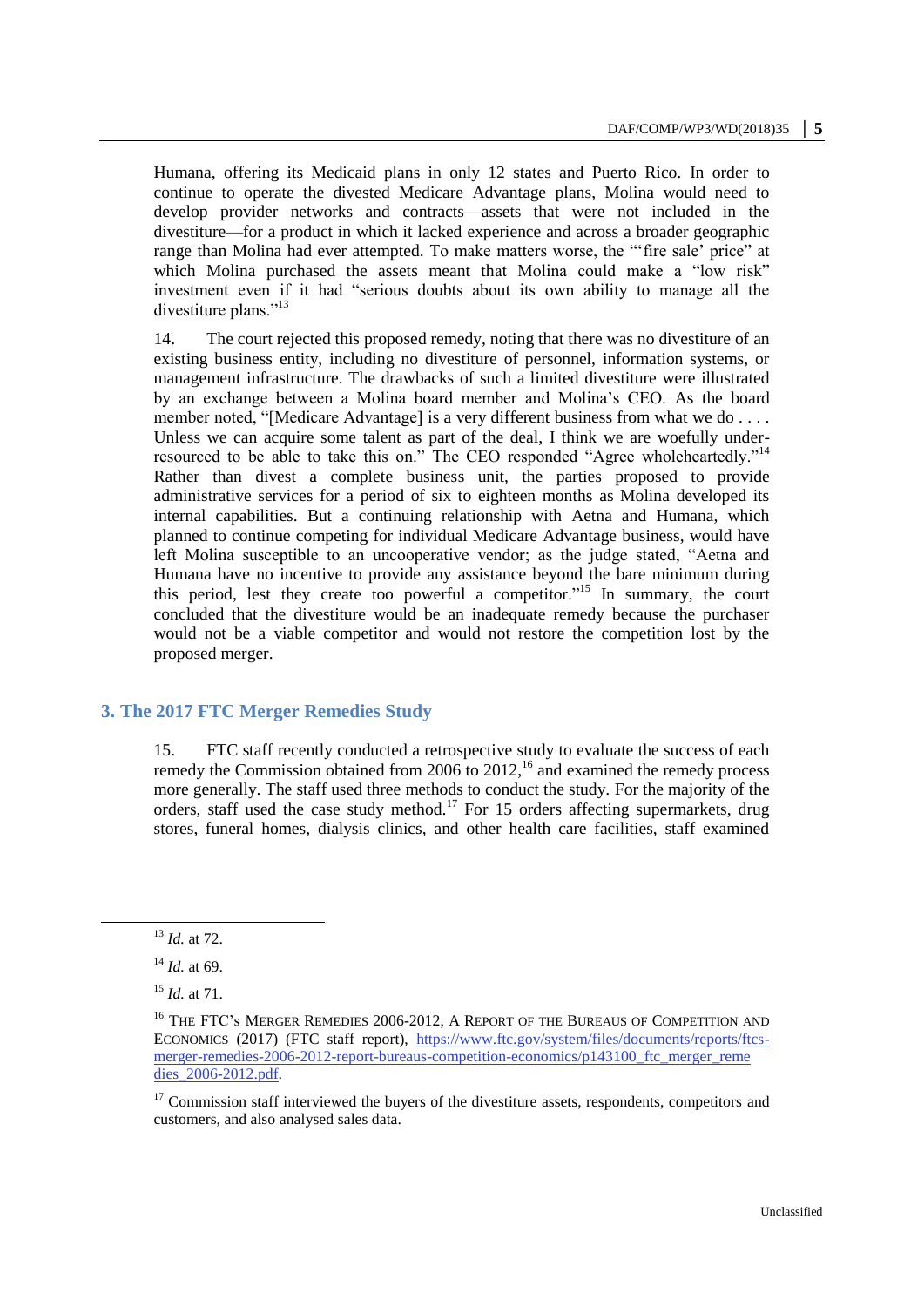Humana, offering its Medicaid plans in only 12 states and Puerto Rico. In order to continue to operate the divested Medicare Advantage plans, Molina would need to develop provider networks and contracts—assets that were not included in the divestiture—for a product in which it lacked experience and across a broader geographic range than Molina had ever attempted. To make matters worse, the "'fire sale' price" at which Molina purchased the assets meant that Molina could make a "low risk" investment even if it had "serious doubts about its own ability to manage all the divestiture plans."<sup>13</sup>

14. The court rejected this proposed remedy, noting that there was no divestiture of an existing business entity, including no divestiture of personnel, information systems, or management infrastructure. The drawbacks of such a limited divestiture were illustrated by an exchange between a Molina board member and Molina's CEO. As the board member noted, "[Medicare Advantage] is a very different business from what we do . . . . Unless we can acquire some talent as part of the deal, I think we are woefully underresourced to be able to take this on." The CEO responded "Agree wholeheartedly."<sup>14</sup> Rather than divest a complete business unit, the parties proposed to provide administrative services for a period of six to eighteen months as Molina developed its internal capabilities. But a continuing relationship with Aetna and Humana, which planned to continue competing for individual Medicare Advantage business, would have left Molina susceptible to an uncooperative vendor; as the judge stated, "Aetna and Humana have no incentive to provide any assistance beyond the bare minimum during this period, lest they create too powerful a competitor."<sup>15</sup> In summary, the court concluded that the divestiture would be an inadequate remedy because the purchaser would not be a viable competitor and would not restore the competition lost by the proposed merger.

#### **3. The 2017 FTC Merger Remedies Study**

15. FTC staff recently conducted a retrospective study to evaluate the success of each remedy the Commission obtained from  $2006$  to  $2012$ ,<sup>16</sup> and examined the remedy process more generally. The staff used three methods to conduct the study. For the majority of the orders, staff used the case study method.<sup>17</sup> For 15 orders affecting supermarkets, drug stores, funeral homes, dialysis clinics, and other health care facilities, staff examined

<sup>13</sup> *Id.* at 72.

<sup>14</sup> *Id.* at 69.

<sup>15</sup> *Id.* at 71.

<sup>&</sup>lt;sup>16</sup> THE FTC's MERGER REMEDIES 2006-2012, A REPORT OF THE BUREAUS OF COMPETITION AND ECONOMICS (2017) (FTC staff report), [https://www.ftc.gov/system/files/documents/reports/ftcs](https://www.ftc.gov/system/files/documents/reports/ftcs-merger-remedies-2006-2012-report-bureaus-competition-economics/p143100_ftc_merger_reme%20dies_2006-2012.pdf)[merger-remedies-2006-2012-report-bureaus-competition-economics/p143100\\_ftc\\_merger\\_reme](https://www.ftc.gov/system/files/documents/reports/ftcs-merger-remedies-2006-2012-report-bureaus-competition-economics/p143100_ftc_merger_reme%20dies_2006-2012.pdf)  [dies\\_2006-2012.pdf.](https://www.ftc.gov/system/files/documents/reports/ftcs-merger-remedies-2006-2012-report-bureaus-competition-economics/p143100_ftc_merger_reme%20dies_2006-2012.pdf)

<sup>&</sup>lt;sup>17</sup> Commission staff interviewed the buyers of the divestiture assets, respondents, competitors and customers, and also analysed sales data.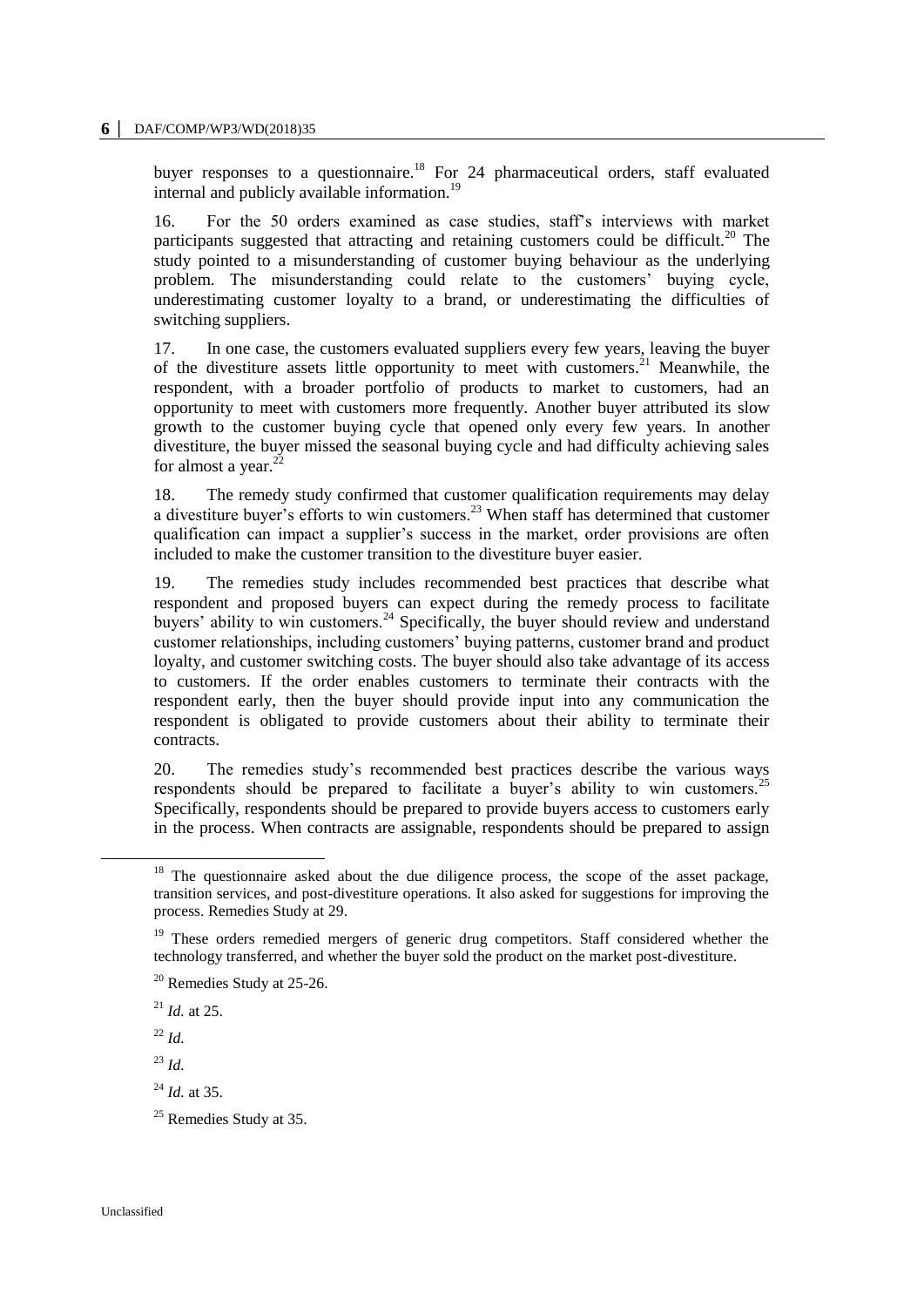buyer responses to a questionnaire.<sup>18</sup> For 24 pharmaceutical orders, staff evaluated internal and publicly available information.<sup>19</sup>

16. For the 50 orders examined as case studies, staff's interviews with market participants suggested that attracting and retaining customers could be difficult.<sup>20</sup> The study pointed to a misunderstanding of customer buying behaviour as the underlying problem. The misunderstanding could relate to the customers' buying cycle, underestimating customer loyalty to a brand, or underestimating the difficulties of switching suppliers.

17. In one case, the customers evaluated suppliers every few years, leaving the buyer of the divestiture assets little opportunity to meet with customers.<sup>21</sup> Meanwhile, the respondent, with a broader portfolio of products to market to customers, had an opportunity to meet with customers more frequently. Another buyer attributed its slow growth to the customer buying cycle that opened only every few years. In another divestiture, the buyer missed the seasonal buying cycle and had difficulty achieving sales for almost a year. $^{22}$ 

18. The remedy study confirmed that customer qualification requirements may delay a divestiture buyer's efforts to win customers.<sup>23</sup> When staff has determined that customer qualification can impact a supplier's success in the market, order provisions are often included to make the customer transition to the divestiture buyer easier.

19. The remedies study includes recommended best practices that describe what respondent and proposed buyers can expect during the remedy process to facilitate buyers' ability to win customers.<sup>24</sup> Specifically, the buyer should review and understand customer relationships, including customers' buying patterns, customer brand and product loyalty, and customer switching costs. The buyer should also take advantage of its access to customers. If the order enables customers to terminate their contracts with the respondent early, then the buyer should provide input into any communication the respondent is obligated to provide customers about their ability to terminate their contracts.

20. The remedies study's recommended best practices describe the various ways respondents should be prepared to facilitate a buyer's ability to win customers.<sup>25</sup> Specifically, respondents should be prepared to provide buyers access to customers early in the process. When contracts are assignable, respondents should be prepared to assign

<sup>22</sup> *Id.*

<sup>23</sup> *Id.*

 $18$  The questionnaire asked about the due diligence process, the scope of the asset package, transition services, and post-divestiture operations. It also asked for suggestions for improving the process. Remedies Study at 29.

<sup>&</sup>lt;sup>19</sup> These orders remedied mergers of generic drug competitors. Staff considered whether the technology transferred, and whether the buyer sold the product on the market post-divestiture.

<sup>20</sup> Remedies Study at 25-26.

<sup>21</sup> *Id.* at 25.

<sup>24</sup> *Id.* at 35.

 $25$  Remedies Study at 35.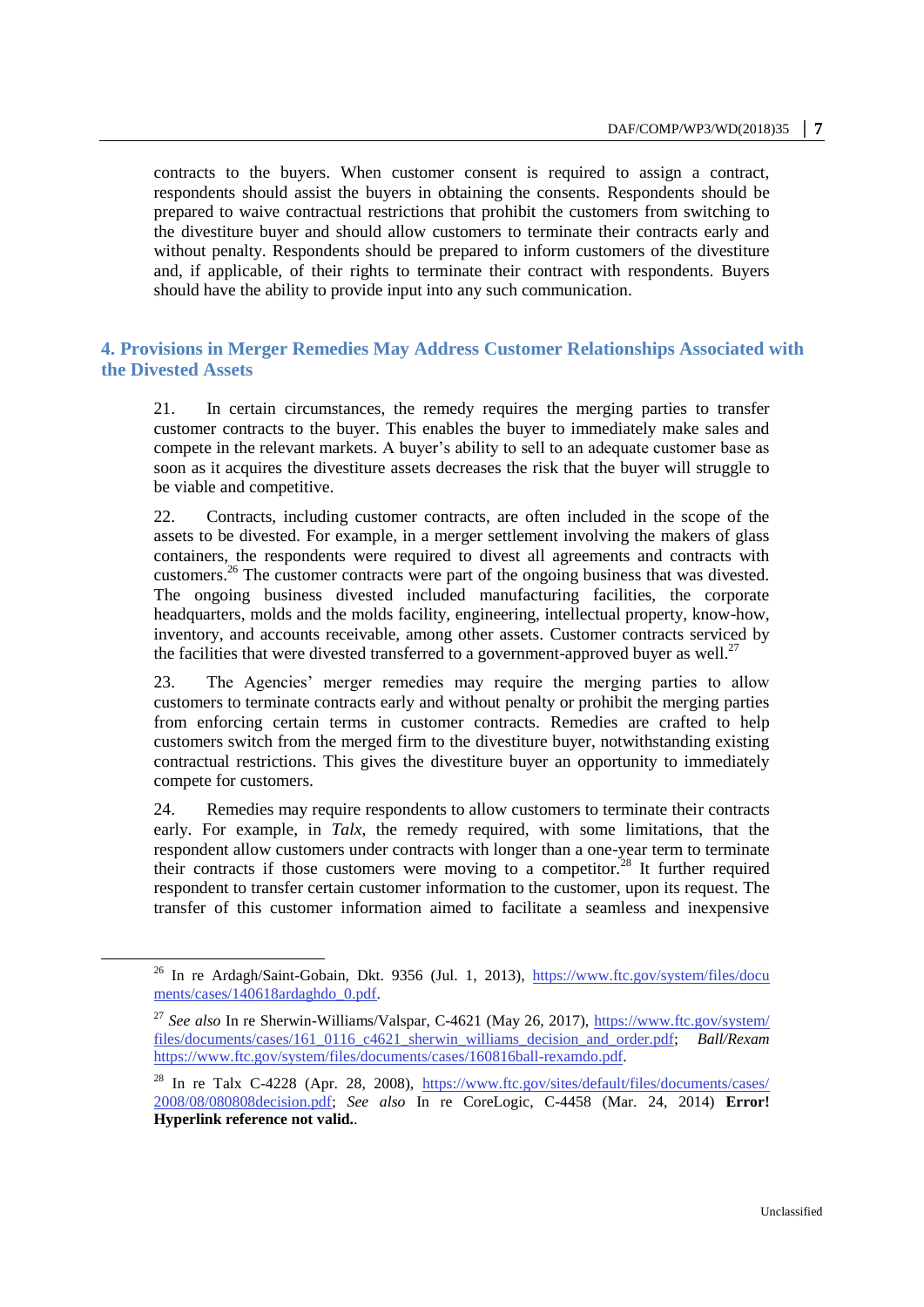contracts to the buyers. When customer consent is required to assign a contract, respondents should assist the buyers in obtaining the consents. Respondents should be prepared to waive contractual restrictions that prohibit the customers from switching to the divestiture buyer and should allow customers to terminate their contracts early and without penalty. Respondents should be prepared to inform customers of the divestiture and, if applicable, of their rights to terminate their contract with respondents. Buyers should have the ability to provide input into any such communication.

# **4. Provisions in Merger Remedies May Address Customer Relationships Associated with the Divested Assets**

21. In certain circumstances, the remedy requires the merging parties to transfer customer contracts to the buyer. This enables the buyer to immediately make sales and compete in the relevant markets. A buyer's ability to sell to an adequate customer base as soon as it acquires the divestiture assets decreases the risk that the buyer will struggle to be viable and competitive.

22. Contracts, including customer contracts, are often included in the scope of the assets to be divested. For example, in a merger settlement involving the makers of glass containers, the respondents were required to divest all agreements and contracts with customers.<sup>26</sup> The customer contracts were part of the ongoing business that was divested. The ongoing business divested included manufacturing facilities, the corporate headquarters, molds and the molds facility, engineering, intellectual property, know-how, inventory, and accounts receivable, among other assets. Customer contracts serviced by the facilities that were divested transferred to a government-approved buyer as well.<sup>27</sup>

23. The Agencies' merger remedies may require the merging parties to allow customers to terminate contracts early and without penalty or prohibit the merging parties from enforcing certain terms in customer contracts. Remedies are crafted to help customers switch from the merged firm to the divestiture buyer, notwithstanding existing contractual restrictions. This gives the divestiture buyer an opportunity to immediately compete for customers.

24. Remedies may require respondents to allow customers to terminate their contracts early. For example, in *Talx*, the remedy required, with some limitations, that the respondent allow customers under contracts with longer than a one-year term to terminate their contracts if those customers were moving to a competitor.<sup>28</sup> It further required respondent to transfer certain customer information to the customer, upon its request. The transfer of this customer information aimed to facilitate a seamless and inexpensive

<sup>&</sup>lt;sup>26</sup> In re Ardagh/Saint-Gobain, Dkt. 9356 (Jul. 1, 2013), https://www.ftc.gov/system/files/docu [ments/cases/140618ardaghdo\\_0.pdf.](https://www.ftc.gov/system/files/docu%20ments/cases/140618ardaghdo_0.pdf)

<sup>&</sup>lt;sup>27</sup> See also In re Sherwin-Williams/Valspar, C-4621 (May 26, 2017), https://www.ftc.gov/system/ [files/documents/cases/161\\_0116\\_c4621\\_sherwin\\_williams\\_decision\\_and\\_order.pdf;](https://www.ftc.gov/system/%20files/documents/cases/161_0116_c4621_sherwin_williams_decision_and_order.pdf) *Ball/Rexam* [https://www.ftc.gov/system/files/documents/cases/160816ball-rexamdo.pdf.](https://www.ftc.gov/system/files/documents/cases/160816ball-rexamdo.pdf)

<sup>&</sup>lt;sup>28</sup> In re Talx C-4228 (Apr. 28, 2008), https://www.ftc.gov/sites/default/files/documents/cases/ [2008/08/080808decision.pdf;](https://www.ftc.gov/sites/default/files/documents/cases/%202008/08/080808decision.pdf) *See also* In re CoreLogic, C-4458 (Mar. 24, 2014) **Error! Hyperlink reference not valid.**.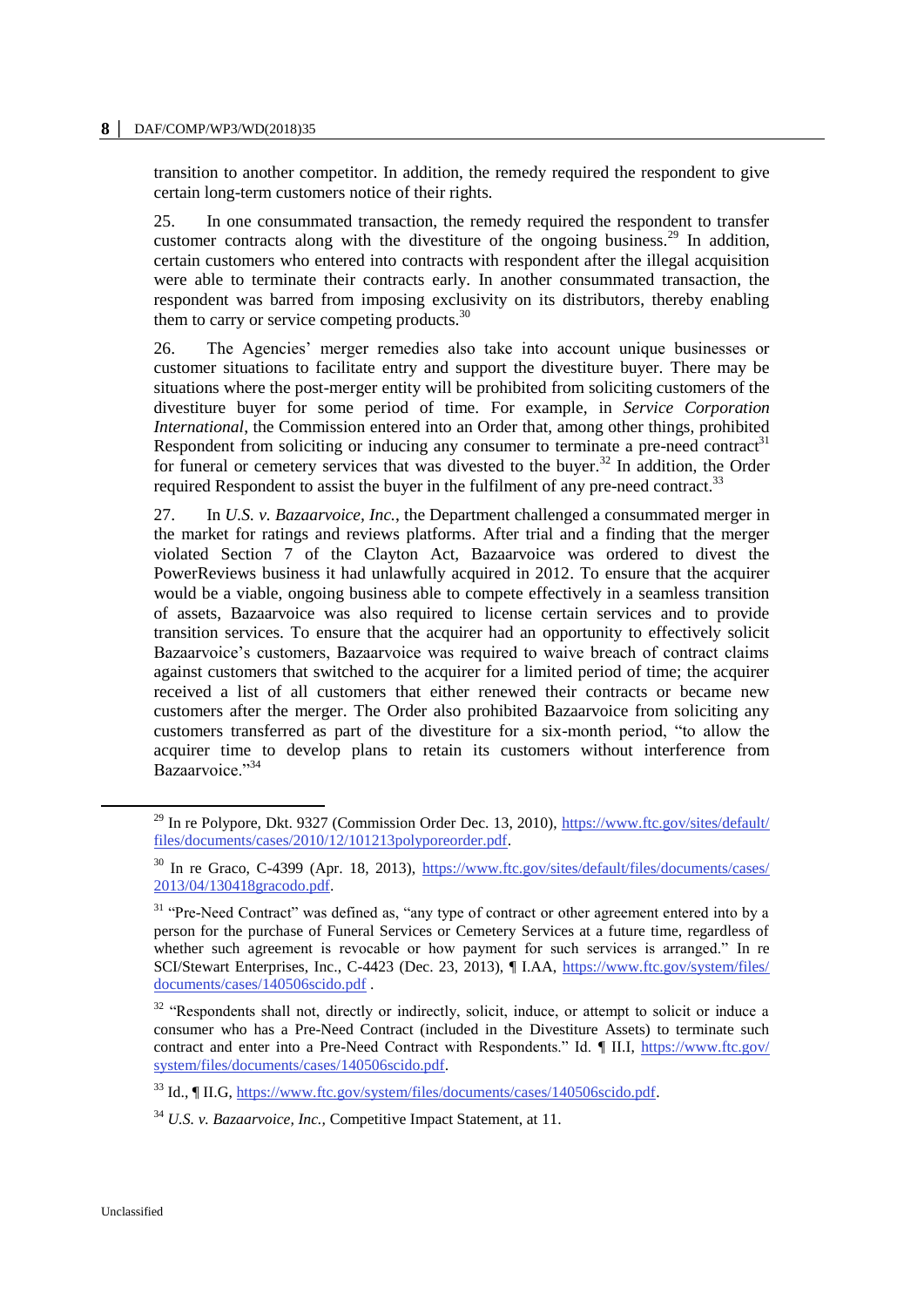#### **8 │** DAF/COMP/WP3/WD(2018)35

transition to another competitor. In addition, the remedy required the respondent to give certain long-term customers notice of their rights.

25. In one consummated transaction, the remedy required the respondent to transfer customer contracts along with the divestiture of the ongoing business.<sup>29</sup> In addition, certain customers who entered into contracts with respondent after the illegal acquisition were able to terminate their contracts early. In another consummated transaction, the respondent was barred from imposing exclusivity on its distributors, thereby enabling them to carry or service competing products. $30$ 

26. The Agencies' merger remedies also take into account unique businesses or customer situations to facilitate entry and support the divestiture buyer. There may be situations where the post-merger entity will be prohibited from soliciting customers of the divestiture buyer for some period of time. For example, in *Service Corporation International*, the Commission entered into an Order that, among other things, prohibited Respondent from soliciting or inducing any consumer to terminate a pre-need contract<sup>31</sup> for funeral or cemetery services that was divested to the buyer.<sup>32</sup> In addition, the Order required Respondent to assist the buyer in the fulfilment of any pre-need contract.<sup>33</sup>

27. In *U.S. v. Bazaarvoice, Inc.*, the Department challenged a consummated merger in the market for ratings and reviews platforms. After trial and a finding that the merger violated Section 7 of the Clayton Act, Bazaarvoice was ordered to divest the PowerReviews business it had unlawfully acquired in 2012. To ensure that the acquirer would be a viable, ongoing business able to compete effectively in a seamless transition of assets, Bazaarvoice was also required to license certain services and to provide transition services. To ensure that the acquirer had an opportunity to effectively solicit Bazaarvoice's customers, Bazaarvoice was required to waive breach of contract claims against customers that switched to the acquirer for a limited period of time; the acquirer received a list of all customers that either renewed their contracts or became new customers after the merger. The Order also prohibited Bazaarvoice from soliciting any customers transferred as part of the divestiture for a six-month period, "to allow the acquirer time to develop plans to retain its customers without interference from Bazaarvoice."<sup>34</sup>

<sup>&</sup>lt;sup>29</sup> In re Polypore, Dkt. 9327 (Commission Order Dec. 13, 2010), https://www.ftc.gov/sites/default/ [files/documents/cases/2010/12/101213polyporeorder.pdf.](https://www.ftc.gov/sites/default/%20files/documents/cases/2010/12/101213polyporeorder.pdf)

<sup>30</sup> In re Graco, C-4399 (Apr. 18, 2013), [https://www.ftc.gov/sites/default/files/documents/cases/](https://www.ftc.gov/sites/default/files/documents/cases/%202013/04/130418gracodo.pdf)  [2013/04/130418gracodo.pdf.](https://www.ftc.gov/sites/default/files/documents/cases/%202013/04/130418gracodo.pdf)

<sup>&</sup>lt;sup>31</sup> "Pre-Need Contract" was defined as, "any type of contract or other agreement entered into by a person for the purchase of Funeral Services or Cemetery Services at a future time, regardless of whether such agreement is revocable or how payment for such services is arranged." In re SCI/Stewart Enterprises, Inc., C-4423 (Dec. 23, 2013), ¶ I.AA, [https://www.ftc.gov/system/files/](https://www.ftc.gov/system/files/%20documents/cases/140506scido.pdf)  [documents/cases/140506scido.pdf](https://www.ftc.gov/system/files/%20documents/cases/140506scido.pdf) .

<sup>&</sup>lt;sup>32</sup> "Respondents shall not, directly or indirectly, solicit, induce, or attempt to solicit or induce a consumer who has a Pre-Need Contract (included in the Divestiture Assets) to terminate such contract and enter into a Pre-Need Contract with Respondents." Id. ¶ II.I, [https://www.ftc.gov/](https://www.ftc.gov/%20system/files/documents/cases/140506scido.pdf)  [system/files/documents/cases/140506scido.pdf.](https://www.ftc.gov/%20system/files/documents/cases/140506scido.pdf)

<sup>33</sup> Id., ¶ II.G, [https://www.ftc.gov/system/files/documents/cases/140506scido.pdf.](https://www.ftc.gov/system/files/documents/cases/140506scido.pdf)

<sup>34</sup> *U.S. v. Bazaarvoice, Inc.,* Competitive Impact Statement, at 11.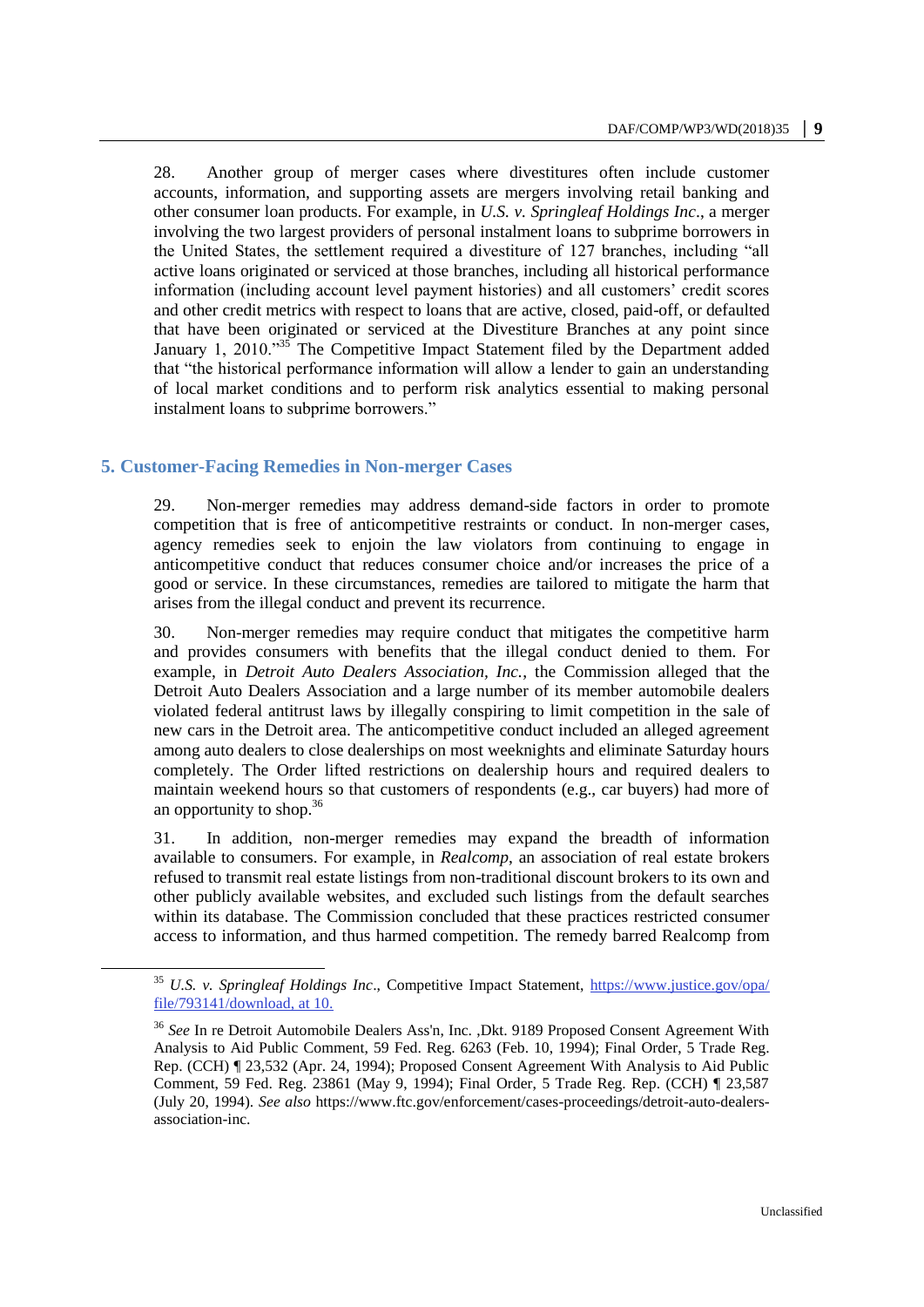28. Another group of merger cases where divestitures often include customer accounts, information, and supporting assets are mergers involving retail banking and other consumer loan products. For example, in *U.S. v. Springleaf Holdings Inc*., a merger involving the two largest providers of personal instalment loans to subprime borrowers in the United States, the settlement required a divestiture of 127 branches, including "all active loans originated or serviced at those branches, including all historical performance information (including account level payment histories) and all customers' credit scores and other credit metrics with respect to loans that are active, closed, paid-off, or defaulted that have been originated or serviced at the Divestiture Branches at any point since January 1, 2010." $35$  The Competitive Impact Statement filed by the Department added that "the historical performance information will allow a lender to gain an understanding of local market conditions and to perform risk analytics essential to making personal instalment loans to subprime borrowers."

# **5. Customer-Facing Remedies in Non-merger Cases**

 $\overline{a}$ 

29. Non-merger remedies may address demand-side factors in order to promote competition that is free of anticompetitive restraints or conduct. In non-merger cases, agency remedies seek to enjoin the law violators from continuing to engage in anticompetitive conduct that reduces consumer choice and/or increases the price of a good or service. In these circumstances, remedies are tailored to mitigate the harm that arises from the illegal conduct and prevent its recurrence.

30. Non-merger remedies may require conduct that mitigates the competitive harm and provides consumers with benefits that the illegal conduct denied to them. For example, in *Detroit Auto Dealers Association, Inc.*, the Commission alleged that the Detroit Auto Dealers Association and a large number of its member automobile dealers violated federal antitrust laws by illegally conspiring to limit competition in the sale of new cars in the Detroit area. The anticompetitive conduct included an alleged agreement among auto dealers to close dealerships on most weeknights and eliminate Saturday hours completely. The Order lifted restrictions on dealership hours and required dealers to maintain weekend hours so that customers of respondents (e.g., car buyers) had more of an opportunity to shop. $36$ 

31. In addition, non-merger remedies may expand the breadth of information available to consumers. For example, in *Realcomp*, an association of real estate brokers refused to transmit real estate listings from non-traditional discount brokers to its own and other publicly available websites, and excluded such listings from the default searches within its database. The Commission concluded that these practices restricted consumer access to information, and thus harmed competition. The remedy barred Realcomp from

<sup>35</sup> *U.S. v. Springleaf Holdings Inc*., Competitive Impact Statement, [https://www.justice.gov/opa/](https://www.justice.gov/opa/%20file/793141/download)  [file/793141/download,](https://www.justice.gov/opa/%20file/793141/download) at 10.

<sup>36</sup> *See* In re Detroit Automobile Dealers Ass'n, Inc. ,Dkt. 9189 Proposed Consent Agreement With Analysis to Aid Public Comment, 59 Fed. Reg. 6263 (Feb. 10, 1994); Final Order, 5 Trade Reg. Rep. (CCH) ¶ 23,532 (Apr. 24, 1994); Proposed Consent Agreement With Analysis to Aid Public Comment, 59 Fed. Reg. 23861 (May 9, 1994); Final Order, 5 Trade Reg. Rep. (CCH) ¶ 23,587 (July 20, 1994). *See also* https://www.ftc.gov/enforcement/cases-proceedings/detroit-auto-dealersassociation-inc.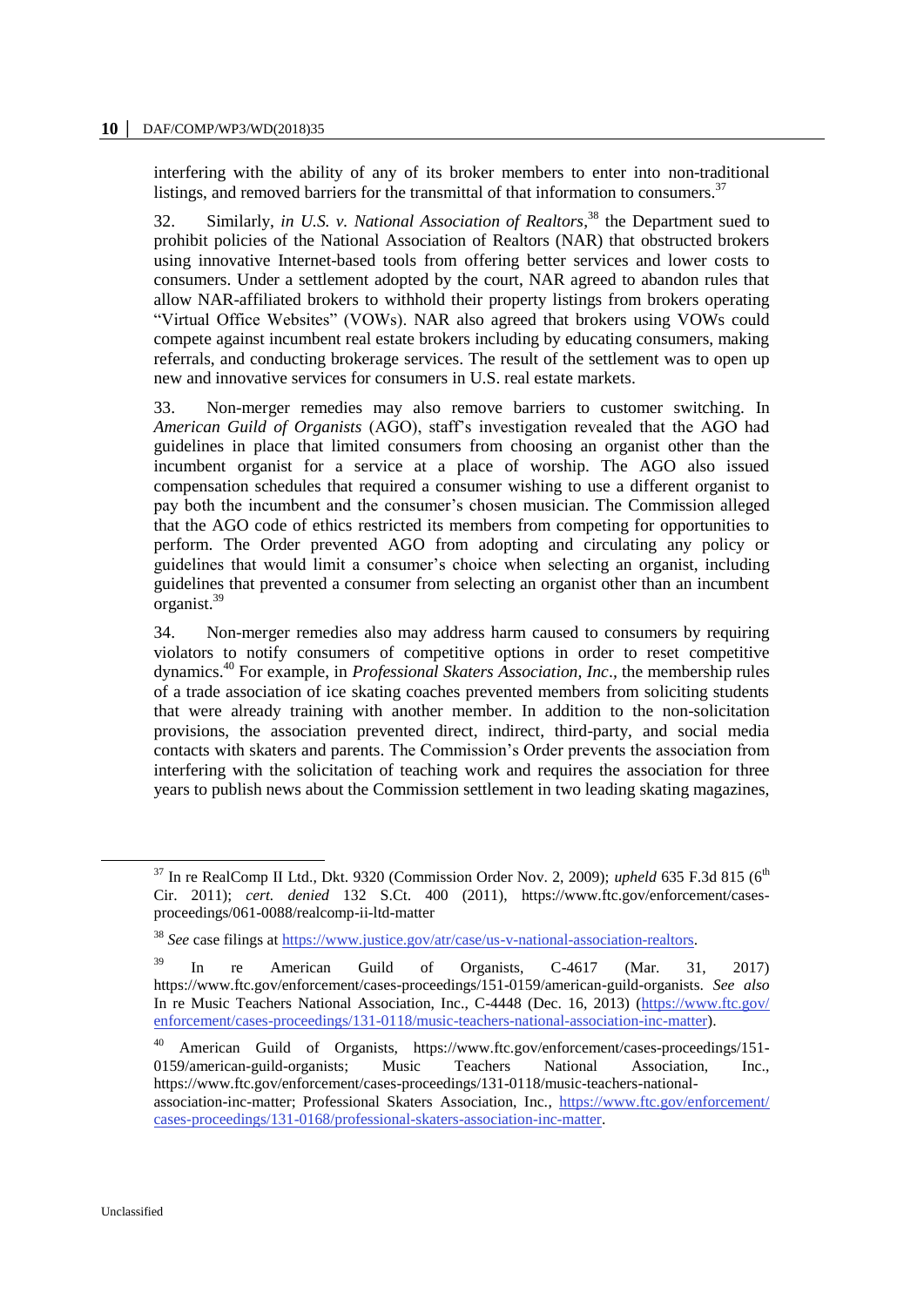interfering with the ability of any of its broker members to enter into non-traditional listings, and removed barriers for the transmittal of that information to consumers.<sup>37</sup>

32. Similarly, *in U.S. v. National Association of Realtors*, <sup>38</sup> the Department sued to prohibit policies of the National Association of Realtors (NAR) that obstructed brokers using innovative Internet-based tools from offering better services and lower costs to consumers. Under a settlement adopted by the court, NAR agreed to abandon rules that allow NAR-affiliated brokers to withhold their property listings from brokers operating "Virtual Office Websites" (VOWs). NAR also agreed that brokers using VOWs could compete against incumbent real estate brokers including by educating consumers, making referrals, and conducting brokerage services. The result of the settlement was to open up new and innovative services for consumers in U.S. real estate markets.

33. Non-merger remedies may also remove barriers to customer switching. In *American Guild of Organists* (AGO), staff's investigation revealed that the AGO had guidelines in place that limited consumers from choosing an organist other than the incumbent organist for a service at a place of worship. The AGO also issued compensation schedules that required a consumer wishing to use a different organist to pay both the incumbent and the consumer's chosen musician. The Commission alleged that the AGO code of ethics restricted its members from competing for opportunities to perform. The Order prevented AGO from adopting and circulating any policy or guidelines that would limit a consumer's choice when selecting an organist, including guidelines that prevented a consumer from selecting an organist other than an incumbent organist.<sup>39</sup>

34. Non-merger remedies also may address harm caused to consumers by requiring violators to notify consumers of competitive options in order to reset competitive dynamics.<sup>40</sup> For example, in *Professional Skaters Association, Inc*.*,* the membership rules of a trade association of ice skating coaches prevented members from soliciting students that were already training with another member. In addition to the non-solicitation provisions, the association prevented direct, indirect, third-party, and social media contacts with skaters and parents. The Commission's Order prevents the association from interfering with the solicitation of teaching work and requires the association for three years to publish news about the Commission settlement in two leading skating magazines,

 $37$  In re RealComp II Ltd., Dkt. 9320 (Commission Order Nov. 2, 2009); *upheld* 635 F.3d 815 (6<sup>th</sup>) Cir. 2011); *cert. denied* 132 S.Ct. 400 (2011), https://www.ftc.gov/enforcement/casesproceedings/061-0088/realcomp-ii-ltd-matter

<sup>&</sup>lt;sup>38</sup> See case filings at [https://www.justice.gov/atr/case/us-v-national-association-realtors.](https://www.justice.gov/atr/case/us-v-national-association-realtors)

 $^{39}$  In re American Guild of Organists, C-4617 (Mar. 31, 2017) https://www.ftc.gov/enforcement/cases-proceedings/151-0159/american-guild-organists. *See also*  In re Music Teachers National Association, Inc., C-4448 (Dec. 16, 2013) [\(https://www.ftc.gov/](https://www.ftc.gov/%20enforcement/cases-proceedings/131-0118/music-teachers-national-association-inc-matter)  [enforcement/cases-proceedings/131-0118/music-teachers-national-association-inc-matter\)](https://www.ftc.gov/%20enforcement/cases-proceedings/131-0118/music-teachers-national-association-inc-matter).

<sup>40</sup> American Guild of Organists, https://www.ftc.gov/enforcement/cases-proceedings/151- 0159/american-guild-organists; Music Teachers National Association, Inc., https://www.ftc.gov/enforcement/cases-proceedings/131-0118/music-teachers-nationalassociation-inc-matter; Professional Skaters Association, Inc., [https://www.ftc.gov/enforcement/](https://www.ftc.gov/enforcement/%20cases-proceedings/131-0168/professional-skaters-association-inc-matter)  [cases-proceedings/131-0168/professional-skaters-association-inc-matter.](https://www.ftc.gov/enforcement/%20cases-proceedings/131-0168/professional-skaters-association-inc-matter)